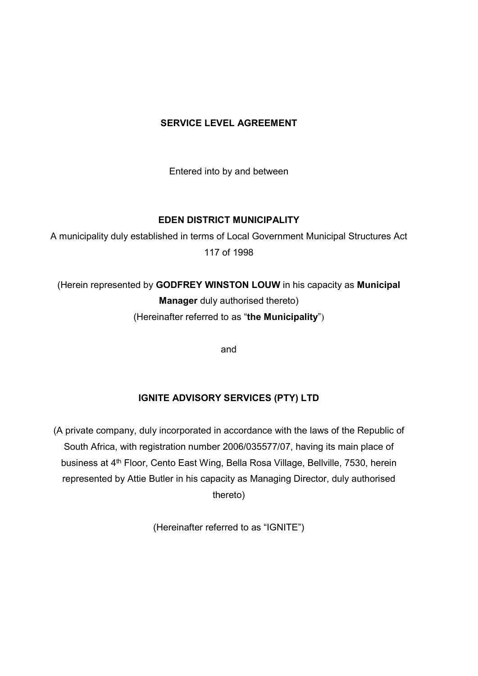## **SERVICE LEVEL AGREEMENT**

Entered into by and between

## **EDEN DISTRICT MUNICIPALITY**

A municipality duly established in terms of Local Government Municipal Structures Act 117 of 1998

(Herein represented by **GODFREY WINSTON LOUW** in his capacity as **Municipal Manager** duly authorised thereto) (Hereinafter referred to as "**the Municipality**")

and

## **IGNITE ADVISORY SERVICES (PTY) LTD**

(A private company, duly incorporated in accordance with the laws of the Republic of South Africa, with registration number 2006/035577/07, having its main place of business at 4<sup>th</sup> Floor, Cento East Wing, Bella Rosa Village, Bellville, 7530, herein represented by Attie Butler in his capacity as Managing Director, duly authorised thereto)

(Hereinafter referred to as "IGNITE")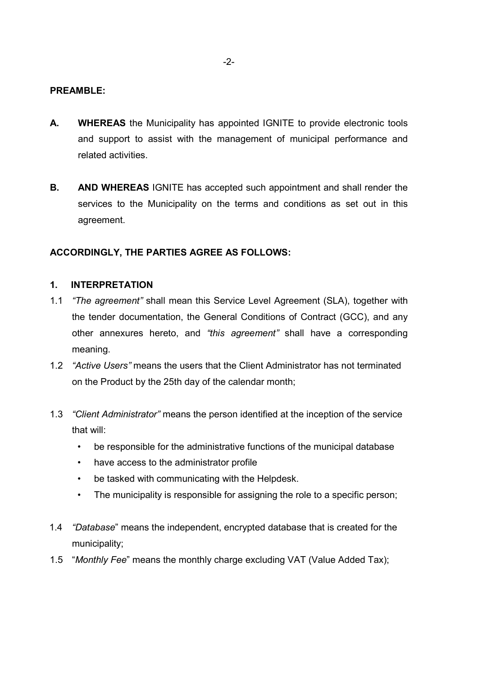#### **PREAMBLE:**

- **A. WHEREAS** the Municipality has appointed IGNITE to provide electronic tools and support to assist with the management of municipal performance and related activities.
- **B. AND WHEREAS** IGNITE has accepted such appointment and shall render the services to the Municipality on the terms and conditions as set out in this agreement.

#### **ACCORDINGLY, THE PARTIES AGREE AS FOLLOWS:**

#### **1. INTERPRETATION**

- 1.1 *"The agreement"* shall mean this Service Level Agreement (SLA), together with the tender documentation, the General Conditions of Contract (GCC), and any other annexures hereto, and *"this agreement"* shall have a corresponding meaning.
- 1.2 *"Active Users"* means the users that the Client Administrator has not terminated on the Product by the 25th day of the calendar month;
- 1.3 *"Client Administrator"* means the person identified at the inception of the service that will:
	- be responsible for the administrative functions of the municipal database
	- have access to the administrator profile
	- be tasked with communicating with the Helpdesk.
	- The municipality is responsible for assigning the role to a specific person;
- 1.4 *"Database*" means the independent, encrypted database that is created for the municipality;
- 1.5 "*Monthly Fee*" means the monthly charge excluding VAT (Value Added Tax);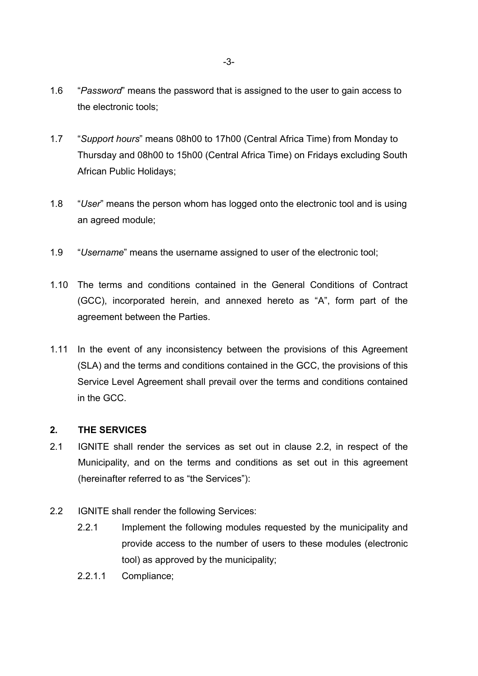- 1.6 "*Password*" means the password that is assigned to the user to gain access to the electronic tools;
- 1.7 "*Support hours*" means 08h00 to 17h00 (Central Africa Time) from Monday to Thursday and 08h00 to 15h00 (Central Africa Time) on Fridays excluding South African Public Holidays;
- 1.8 "*User*" means the person whom has logged onto the electronic tool and is using an agreed module;
- 1.9 "*Username*" means the username assigned to user of the electronic tool;
- 1.10 The terms and conditions contained in the General Conditions of Contract (GCC), incorporated herein, and annexed hereto as "A", form part of the agreement between the Parties.
- 1.11 In the event of any inconsistency between the provisions of this Agreement (SLA) and the terms and conditions contained in the GCC, the provisions of this Service Level Agreement shall prevail over the terms and conditions contained in the GCC.

## **2. THE SERVICES**

- 2.1 IGNITE shall render the services as set out in clause 2.2, in respect of the Municipality, and on the terms and conditions as set out in this agreement (hereinafter referred to as "the Services"):
- 2.2 IGNITE shall render the following Services:
	- 2.2.1 Implement the following modules requested by the municipality and provide access to the number of users to these modules (electronic tool) as approved by the municipality;
	- 2.2.1.1 Compliance;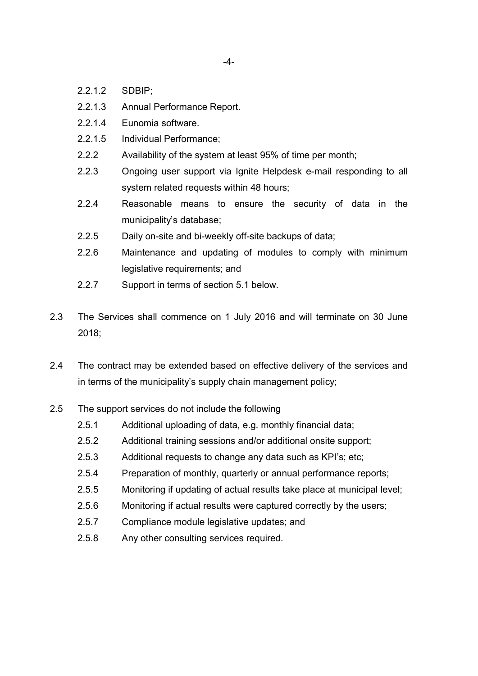-4-

- 2.2.1.2 SDBIP;
- 2.2.1.3 Annual Performance Report.
- 2.2.1.4 Eunomia software.
- 2.2.1.5 Individual Performance;
- 2.2.2 Availability of the system at least 95% of time per month;
- 2.2.3 Ongoing user support via lanite Helpdesk e-mail responding to all system related requests within 48 hours;
- 2.2.4 Reasonable means to ensure the security of data in the municipality's database;
- 2.2.5 Daily on-site and bi-weekly off-site backups of data;
- 2.2.6 Maintenance and updating of modules to comply with minimum legislative requirements; and
- 2.2.7 Support in terms of section 5.1 below.
- 2.3 The Services shall commence on 1 July 2016 and will terminate on 30 June 2018;
- 2.4 The contract may be extended based on effective delivery of the services and in terms of the municipality's supply chain management policy;
- 2.5 The support services do not include the following
	- 2.5.1 Additional uploading of data, e.g. monthly financial data;
	- 2.5.2 Additional training sessions and/or additional onsite support;
	- 2.5.3 Additional requests to change any data such as KPI's; etc;
	- 2.5.4 Preparation of monthly, quarterly or annual performance reports;
	- 2.5.5 Monitoring if updating of actual results take place at municipal level;
	- 2.5.6 Monitoring if actual results were captured correctly by the users;
	- 2.5.7 Compliance module legislative updates; and
	- 2.5.8 Any other consulting services required.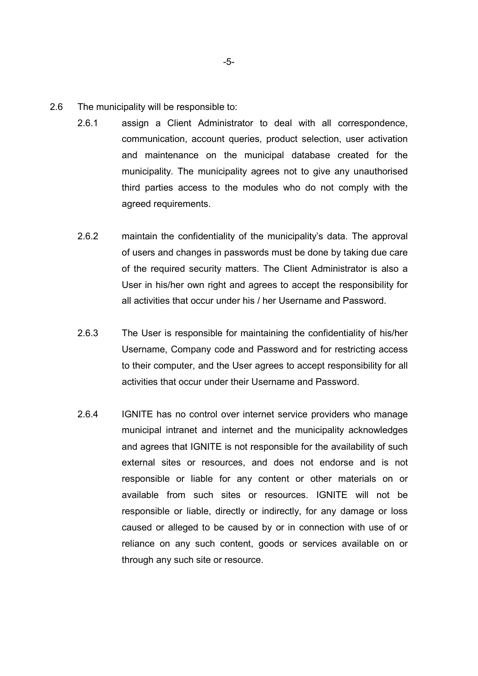- 2.6 The municipality will be responsible to:
	- 2.6.1 assign a Client Administrator to deal with all correspondence, communication, account queries, product selection, user activation and maintenance on the municipal database created for the municipality. The municipality agrees not to give any unauthorised third parties access to the modules who do not comply with the agreed requirements.
	- 2.6.2 maintain the confidentiality of the municipality's data. The approval of users and changes in passwords must be done by taking due care of the required security matters. The Client Administrator is also a User in his/her own right and agrees to accept the responsibility for all activities that occur under his / her Username and Password.
	- 2.6.3 The User is responsible for maintaining the confidentiality of his/her Username, Company code and Password and for restricting access to their computer, and the User agrees to accept responsibility for all activities that occur under their Username and Password.
	- 2.6.4 IGNITE has no control over internet service providers who manage municipal intranet and internet and the municipality acknowledges and agrees that IGNITE is not responsible for the availability of such external sites or resources, and does not endorse and is not responsible or liable for any content or other materials on or available from such sites or resources. IGNITE will not be responsible or liable, directly or indirectly, for any damage or loss caused or alleged to be caused by or in connection with use of or reliance on any such content, goods or services available on or through any such site or resource.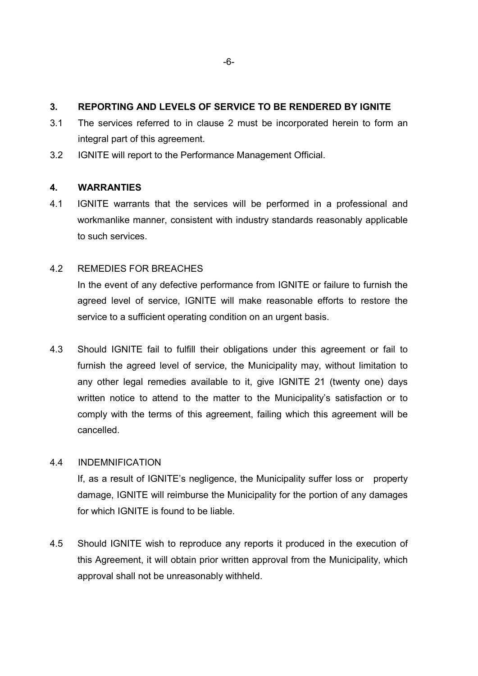## **3. REPORTING AND LEVELS OF SERVICE TO BE RENDERED BY IGNITE**

- 3.1 The services referred to in clause 2 must be incorporated herein to form an integral part of this agreement.
- 3.2 IGNITE will report to the Performance Management Official.

#### **4. WARRANTIES**

4.1 IGNITE warrants that the services will be performed in a professional and workmanlike manner, consistent with industry standards reasonably applicable to such services.

## 4.2 REMEDIES FOR BREACHES

In the event of any defective performance from IGNITE or failure to furnish the agreed level of service, IGNITE will make reasonable efforts to restore the service to a sufficient operating condition on an urgent basis.

4.3 Should IGNITE fail to fulfill their obligations under this agreement or fail to furnish the agreed level of service, the Municipality may, without limitation to any other legal remedies available to it, give IGNITE 21 (twenty one) days written notice to attend to the matter to the Municipality's satisfaction or to comply with the terms of this agreement, failing which this agreement will be cancelled.

#### 4.4 INDEMNIFICATION

 If, as a result of IGNITE's negligence, the Municipality suffer loss or property damage, IGNITE will reimburse the Municipality for the portion of any damages for which IGNITE is found to be liable.

4.5 Should IGNITE wish to reproduce any reports it produced in the execution of this Agreement, it will obtain prior written approval from the Municipality, which approval shall not be unreasonably withheld.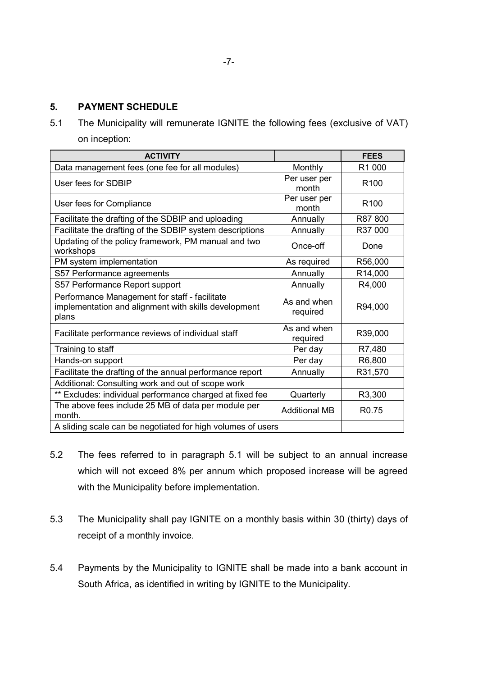5.1 The Municipality will remunerate IGNITE the following fees (exclusive of VAT) on inception:

| <b>ACTIVITY</b>                                                                                                |                         | <b>FEES</b>       |
|----------------------------------------------------------------------------------------------------------------|-------------------------|-------------------|
| Data management fees (one fee for all modules)                                                                 | Monthly                 | R1 000            |
| User fees for SDBIP                                                                                            | Per user per<br>month   | R <sub>100</sub>  |
| User fees for Compliance                                                                                       | Per user per<br>month   | R <sub>100</sub>  |
| Facilitate the drafting of the SDBIP and uploading                                                             | Annually                | R87800            |
| Facilitate the drafting of the SDBIP system descriptions                                                       | Annually                | R37 000           |
| Updating of the policy framework, PM manual and two<br>workshops                                               | Once-off                | Done              |
| PM system implementation                                                                                       | As required             | R56,000           |
| S57 Performance agreements                                                                                     | Annually                | R14,000           |
| S57 Performance Report support                                                                                 | Annually                | R4,000            |
| Performance Management for staff - facilitate<br>implementation and alignment with skills development<br>plans | As and when<br>required | R94,000           |
| Facilitate performance reviews of individual staff                                                             | As and when<br>required | R39,000           |
| Training to staff                                                                                              | Per day                 | R7,480            |
| Hands-on support                                                                                               | Per day                 | R6,800            |
| Facilitate the drafting of the annual performance report                                                       | Annually                | R31,570           |
| Additional: Consulting work and out of scope work                                                              |                         |                   |
| ** Excludes: individual performance charged at fixed fee                                                       | Quarterly               | R3,300            |
| The above fees include 25 MB of data per module per<br>month.                                                  | <b>Additional MB</b>    | R <sub>0.75</sub> |
| A sliding scale can be negotiated for high volumes of users                                                    |                         |                   |

- 5.2 The fees referred to in paragraph 5.1 will be subject to an annual increase which will not exceed 8% per annum which proposed increase will be agreed with the Municipality before implementation.
- 5.3 The Municipality shall pay IGNITE on a monthly basis within 30 (thirty) days of receipt of a monthly invoice.
- 5.4 Payments by the Municipality to IGNITE shall be made into a bank account in South Africa, as identified in writing by IGNITE to the Municipality.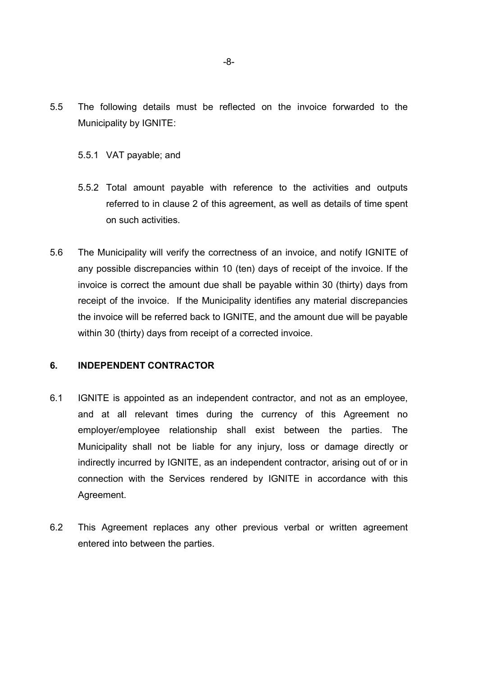- 5.5 The following details must be reflected on the invoice forwarded to the Municipality by IGNITE:
	- 5.5.1 VAT payable; and
	- 5.5.2 Total amount payable with reference to the activities and outputs referred to in clause 2 of this agreement, as well as details of time spent on such activities.
- 5.6 The Municipality will verify the correctness of an invoice, and notify IGNITE of any possible discrepancies within 10 (ten) days of receipt of the invoice. If the invoice is correct the amount due shall be payable within 30 (thirty) days from receipt of the invoice. If the Municipality identifies any material discrepancies the invoice will be referred back to IGNITE, and the amount due will be payable within 30 (thirty) days from receipt of a corrected invoice.

#### **6. INDEPENDENT CONTRACTOR**

- 6.1 IGNITE is appointed as an independent contractor, and not as an employee, and at all relevant times during the currency of this Agreement no employer/employee relationship shall exist between the parties. The Municipality shall not be liable for any injury, loss or damage directly or indirectly incurred by IGNITE, as an independent contractor, arising out of or in connection with the Services rendered by IGNITE in accordance with this Agreement.
- 6.2 This Agreement replaces any other previous verbal or written agreement entered into between the parties.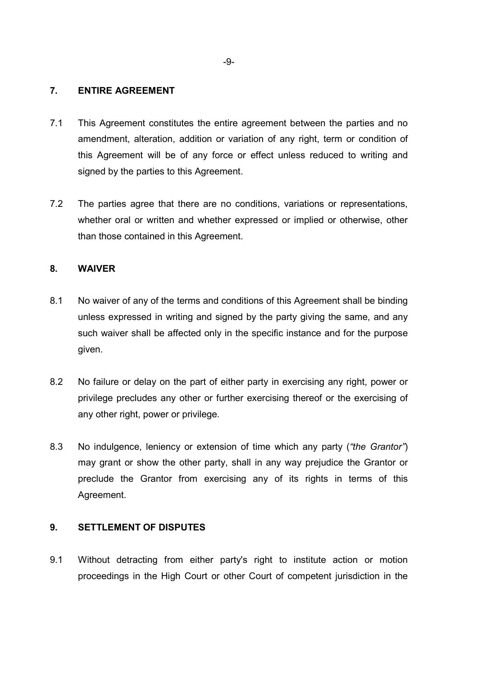#### **7. ENTIRE AGREEMENT**

- 7.1 This Agreement constitutes the entire agreement between the parties and no amendment, alteration, addition or variation of any right, term or condition of this Agreement will be of any force or effect unless reduced to writing and signed by the parties to this Agreement.
- 7.2 The parties agree that there are no conditions, variations or representations, whether oral or written and whether expressed or implied or otherwise, other than those contained in this Agreement.

## **8. WAIVER**

- 8.1 No waiver of any of the terms and conditions of this Agreement shall be binding unless expressed in writing and signed by the party giving the same, and any such waiver shall be affected only in the specific instance and for the purpose given.
- 8.2 No failure or delay on the part of either party in exercising any right, power or privilege precludes any other or further exercising thereof or the exercising of any other right, power or privilege.
- 8.3 No indulgence, leniency or extension of time which any party (*"the Grantor"*) may grant or show the other party, shall in any way prejudice the Grantor or preclude the Grantor from exercising any of its rights in terms of this Agreement.

#### **9. SETTLEMENT OF DISPUTES**

9.1 Without detracting from either party's right to institute action or motion proceedings in the High Court or other Court of competent jurisdiction in the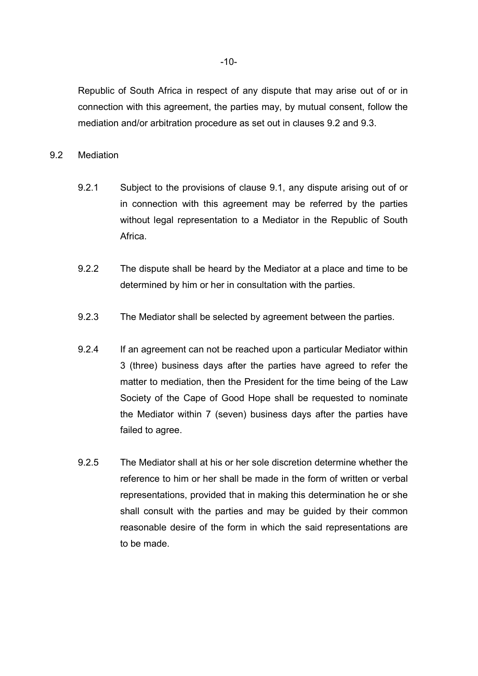Republic of South Africa in respect of any dispute that may arise out of or in connection with this agreement, the parties may, by mutual consent, follow the mediation and/or arbitration procedure as set out in clauses 9.2 and 9.3.

#### 9.2 Mediation

- 9.2.1 Subject to the provisions of clause 9.1, any dispute arising out of or in connection with this agreement may be referred by the parties without legal representation to a Mediator in the Republic of South Africa.
- 9.2.2 The dispute shall be heard by the Mediator at a place and time to be determined by him or her in consultation with the parties.
- 9.2.3 The Mediator shall be selected by agreement between the parties.
- 9.2.4 If an agreement can not be reached upon a particular Mediator within 3 (three) business days after the parties have agreed to refer the matter to mediation, then the President for the time being of the Law Society of the Cape of Good Hope shall be requested to nominate the Mediator within 7 (seven) business days after the parties have failed to agree.
- 9.2.5 The Mediator shall at his or her sole discretion determine whether the reference to him or her shall be made in the form of written or verbal representations, provided that in making this determination he or she shall consult with the parties and may be guided by their common reasonable desire of the form in which the said representations are to be made.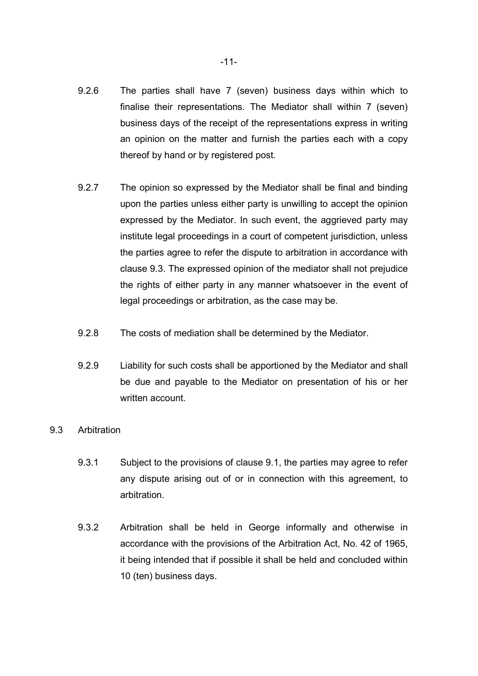- 9.2.6 The parties shall have 7 (seven) business days within which to finalise their representations. The Mediator shall within 7 (seven) business days of the receipt of the representations express in writing an opinion on the matter and furnish the parties each with a copy thereof by hand or by registered post.
- 9.2.7 The opinion so expressed by the Mediator shall be final and binding upon the parties unless either party is unwilling to accept the opinion expressed by the Mediator. In such event, the aggrieved party may institute legal proceedings in a court of competent jurisdiction, unless the parties agree to refer the dispute to arbitration in accordance with clause 9.3. The expressed opinion of the mediator shall not prejudice the rights of either party in any manner whatsoever in the event of legal proceedings or arbitration, as the case may be.
- 9.2.8 The costs of mediation shall be determined by the Mediator.
- 9.2.9 Liability for such costs shall be apportioned by the Mediator and shall be due and payable to the Mediator on presentation of his or her written account.

#### 9.3 Arbitration

- 9.3.1 Subject to the provisions of clause 9.1, the parties may agree to refer any dispute arising out of or in connection with this agreement, to arbitration.
- 9.3.2 Arbitration shall be held in George informally and otherwise in accordance with the provisions of the Arbitration Act, No. 42 of 1965, it being intended that if possible it shall be held and concluded within 10 (ten) business days.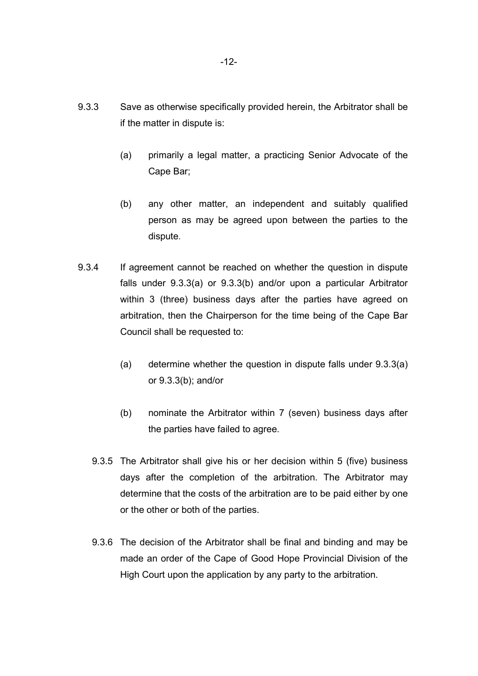- 9.3.3 Save as otherwise specifically provided herein, the Arbitrator shall be if the matter in dispute is:
	- (a) primarily a legal matter, a practicing Senior Advocate of the Cape Bar;
	- (b) any other matter, an independent and suitably qualified person as may be agreed upon between the parties to the dispute.
- 9.3.4 If agreement cannot be reached on whether the question in dispute falls under 9.3.3(a) or 9.3.3(b) and/or upon a particular Arbitrator within 3 (three) business days after the parties have agreed on arbitration, then the Chairperson for the time being of the Cape Bar Council shall be requested to:
	- (a) determine whether the question in dispute falls under 9.3.3(a) or 9.3.3(b); and/or
	- (b) nominate the Arbitrator within 7 (seven) business days after the parties have failed to agree.
	- 9.3.5 The Arbitrator shall give his or her decision within 5 (five) business days after the completion of the arbitration. The Arbitrator may determine that the costs of the arbitration are to be paid either by one or the other or both of the parties.
	- 9.3.6 The decision of the Arbitrator shall be final and binding and may be made an order of the Cape of Good Hope Provincial Division of the High Court upon the application by any party to the arbitration.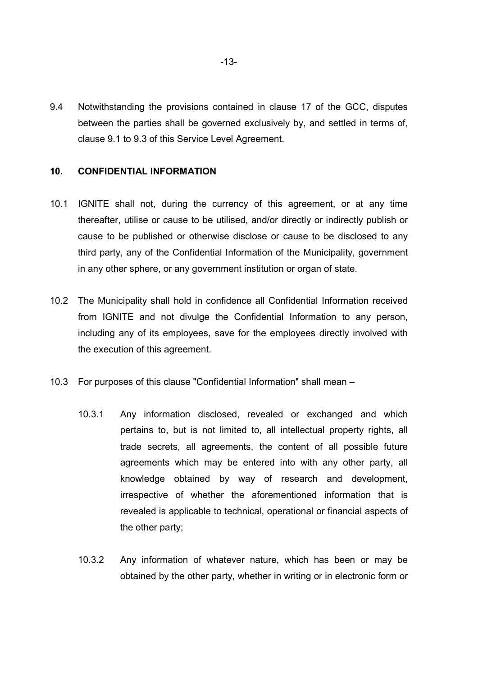9.4 Notwithstanding the provisions contained in clause 17 of the GCC, disputes between the parties shall be governed exclusively by, and settled in terms of, clause 9.1 to 9.3 of this Service Level Agreement.

#### **10. CONFIDENTIAL INFORMATION**

- 10.1 IGNITE shall not, during the currency of this agreement, or at any time thereafter, utilise or cause to be utilised, and/or directly or indirectly publish or cause to be published or otherwise disclose or cause to be disclosed to any third party, any of the Confidential Information of the Municipality, government in any other sphere, or any government institution or organ of state.
- 10.2 The Municipality shall hold in confidence all Confidential Information received from IGNITE and not divulge the Confidential Information to any person, including any of its employees, save for the employees directly involved with the execution of this agreement.
- 10.3 For purposes of this clause "Confidential Information" shall mean
	- 10.3.1 Any information disclosed, revealed or exchanged and which pertains to, but is not limited to, all intellectual property rights, all trade secrets, all agreements, the content of all possible future agreements which may be entered into with any other party, all knowledge obtained by way of research and development, irrespective of whether the aforementioned information that is revealed is applicable to technical, operational or financial aspects of the other party;
	- 10.3.2 Any information of whatever nature, which has been or may be obtained by the other party, whether in writing or in electronic form or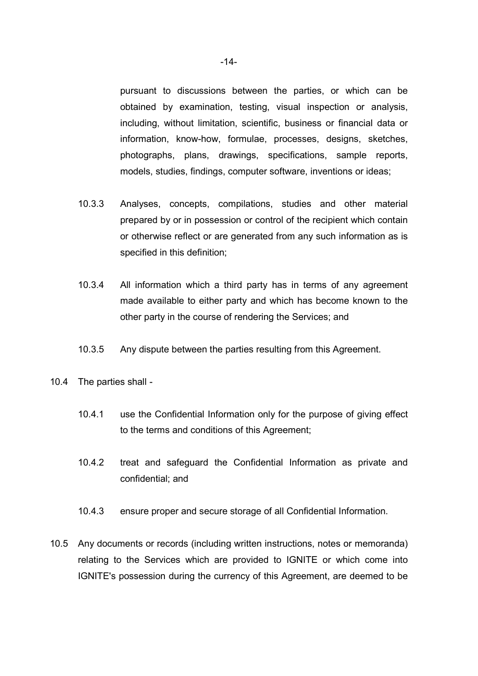pursuant to discussions between the parties, or which can be obtained by examination, testing, visual inspection or analysis, including, without limitation, scientific, business or financial data or information, know-how, formulae, processes, designs, sketches, photographs, plans, drawings, specifications, sample reports, models, studies, findings, computer software, inventions or ideas;

- 10.3.3 Analyses, concepts, compilations, studies and other material prepared by or in possession or control of the recipient which contain or otherwise reflect or are generated from any such information as is specified in this definition;
- 10.3.4 All information which a third party has in terms of any agreement made available to either party and which has become known to the other party in the course of rendering the Services; and
- 10.3.5 Any dispute between the parties resulting from this Agreement.
- 10.4 The parties shall
	- 10.4.1 use the Confidential Information only for the purpose of giving effect to the terms and conditions of this Agreement;
	- 10.4.2 treat and safeguard the Confidential Information as private and confidential; and
	- 10.4.3 ensure proper and secure storage of all Confidential Information.
- 10.5 Any documents or records (including written instructions, notes or memoranda) relating to the Services which are provided to IGNITE or which come into IGNITE's possession during the currency of this Agreement, are deemed to be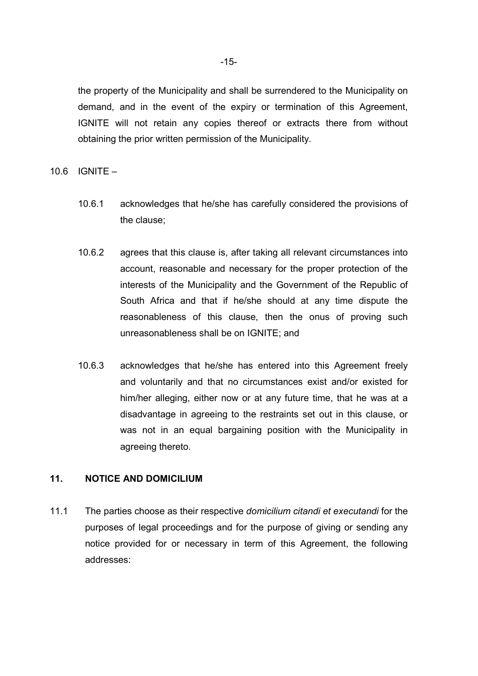the property of the Municipality and shall be surrendered to the Municipality on demand, and in the event of the expiry or termination of this Agreement, IGNITE will not retain any copies thereof or extracts there from without obtaining the prior written permission of the Municipality.

10.6 IGNITE –

- 10.6.1 acknowledges that he/she has carefully considered the provisions of the clause;
- 10.6.2 agrees that this clause is, after taking all relevant circumstances into account, reasonable and necessary for the proper protection of the interests of the Municipality and the Government of the Republic of South Africa and that if he/she should at any time dispute the reasonableness of this clause, then the onus of proving such unreasonableness shall be on IGNITE; and
- 10.6.3 acknowledges that he/she has entered into this Agreement freely and voluntarily and that no circumstances exist and/or existed for him/her alleging, either now or at any future time, that he was at a disadvantage in agreeing to the restraints set out in this clause, or was not in an equal bargaining position with the Municipality in agreeing thereto.

## **11. NOTICE AND DOMICILIUM**

11.1 The parties choose as their respective *domicilium citandi et executandi* for the purposes of legal proceedings and for the purpose of giving or sending any notice provided for or necessary in term of this Agreement, the following addresses: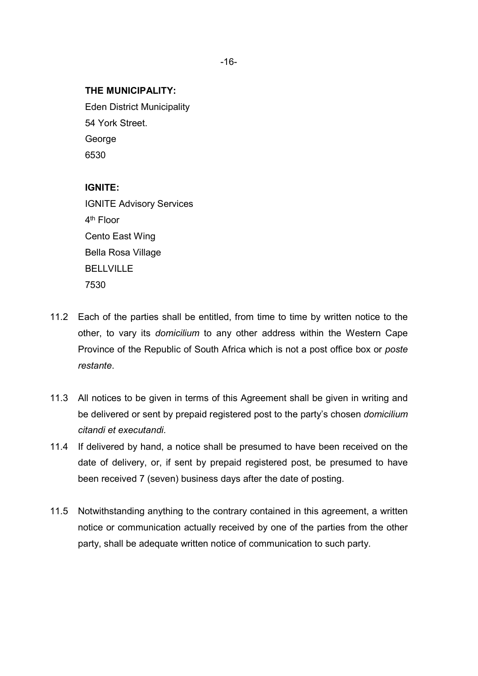#### **THE MUNICIPALITY:**

Eden District Municipality 54 York Street. **George** 6530

#### **IGNITE:**

IGNITE Advisory Services 4<sup>th</sup> Floor Cento East Wing Bella Rosa Village BELLVILLE 7530

- 11.2 Each of the parties shall be entitled, from time to time by written notice to the other, to vary its *domicilium* to any other address within the Western Cape Province of the Republic of South Africa which is not a post office box or *poste restante*.
- 11.3 All notices to be given in terms of this Agreement shall be given in writing and be delivered or sent by prepaid registered post to the party's chosen *domicilium citandi et executandi.*
- 11.4 If delivered by hand, a notice shall be presumed to have been received on the date of delivery, or, if sent by prepaid registered post, be presumed to have been received 7 (seven) business days after the date of posting.
- 11.5 Notwithstanding anything to the contrary contained in this agreement, a written notice or communication actually received by one of the parties from the other party, shall be adequate written notice of communication to such party.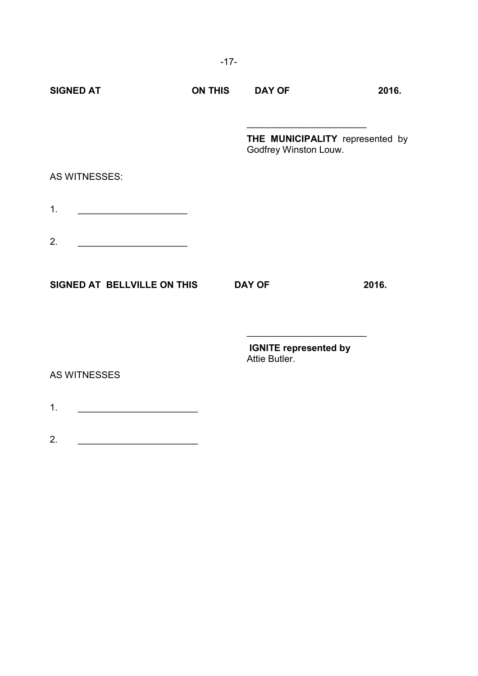|                                                               | $-17-$         |                                                          |       |
|---------------------------------------------------------------|----------------|----------------------------------------------------------|-------|
| <b>SIGNED AT</b>                                              | <b>ON THIS</b> | <b>DAY OF</b>                                            | 2016. |
|                                                               |                | THE MUNICIPALITY represented by<br>Godfrey Winston Louw. |       |
| AS WITNESSES:                                                 |                |                                                          |       |
| 1.<br><u> 1989 - Johann Barbara, martin amerikan basar da</u> |                |                                                          |       |
| 2.                                                            |                |                                                          |       |
| SIGNED AT BELLVILLE ON THIS                                   |                | <b>DAY OF</b>                                            | 2016. |
|                                                               |                | <b>IGNITE represented by</b><br>Attie Butler.            |       |
| <b>AS WITNESSES</b>                                           |                |                                                          |       |
| 1.                                                            |                |                                                          |       |
| 2.                                                            |                |                                                          |       |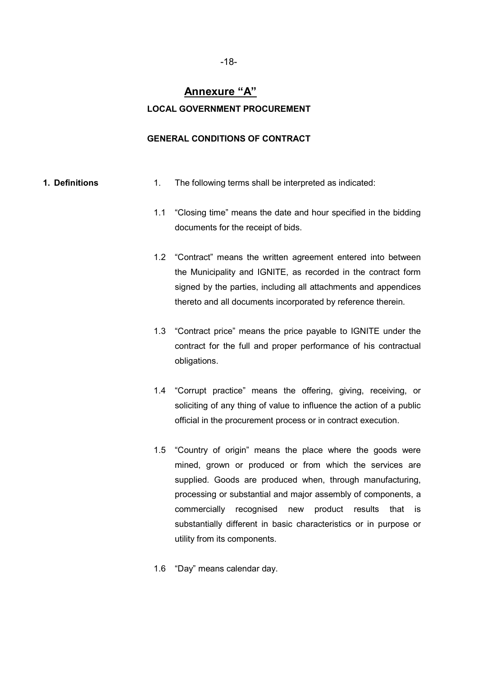# **Annexure "A" LOCAL GOVERNMENT PROCUREMENT**

#### **GENERAL CONDITIONS OF CONTRACT**

- **1. Definitions** 1. The following terms shall be interpreted as indicated:
	- 1.1 "Closing time" means the date and hour specified in the bidding documents for the receipt of bids.
	- 1.2 "Contract" means the written agreement entered into between the Municipality and IGNITE, as recorded in the contract form signed by the parties, including all attachments and appendices thereto and all documents incorporated by reference therein.
	- 1.3 "Contract price" means the price payable to IGNITE under the contract for the full and proper performance of his contractual obligations.
	- 1.4 "Corrupt practice" means the offering, giving, receiving, or soliciting of any thing of value to influence the action of a public official in the procurement process or in contract execution.
	- 1.5 "Country of origin" means the place where the goods were mined, grown or produced or from which the services are supplied. Goods are produced when, through manufacturing, processing or substantial and major assembly of components, a commercially recognised new product results that is substantially different in basic characteristics or in purpose or utility from its components.
	- 1.6 "Day" means calendar day.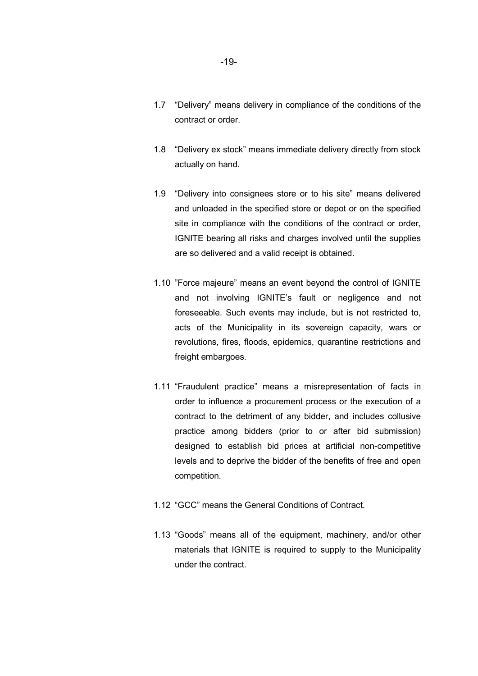- 1.7 "Delivery" means delivery in compliance of the conditions of the contract or order.
- 1.8 "Delivery ex stock" means immediate delivery directly from stock actually on hand.
- 1.9 "Delivery into consignees store or to his site" means delivered and unloaded in the specified store or depot or on the specified site in compliance with the conditions of the contract or order, IGNITE bearing all risks and charges involved until the supplies are so delivered and a valid receipt is obtained.
- 1.10 "Force majeure" means an event beyond the control of IGNITE and not involving IGNITE's fault or negligence and not foreseeable. Such events may include, but is not restricted to, acts of the Municipality in its sovereign capacity, wars or revolutions, fires, floods, epidemics, quarantine restrictions and freight embargoes.
- 1.11 "Fraudulent practice" means a misrepresentation of facts in order to influence a procurement process or the execution of a contract to the detriment of any bidder, and includes collusive practice among bidders (prior to or after bid submission) designed to establish bid prices at artificial non-competitive levels and to deprive the bidder of the benefits of free and open competition.
- 1.12 "GCC" means the General Conditions of Contract.
- 1.13 "Goods" means all of the equipment, machinery, and/or other materials that IGNITE is required to supply to the Municipality under the contract.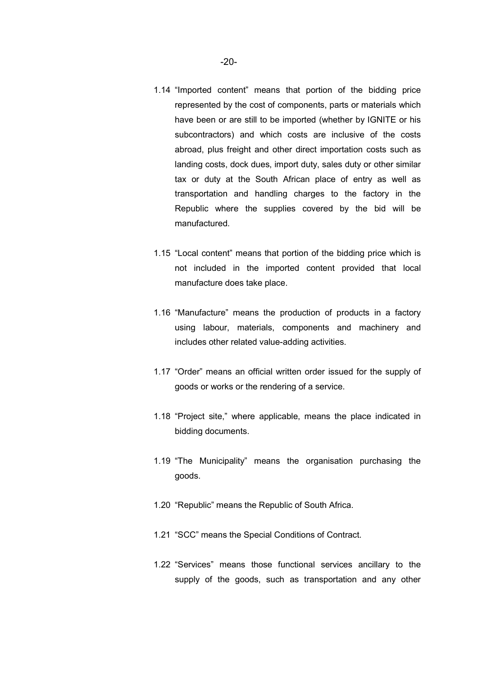- 1.14 "Imported content" means that portion of the bidding price represented by the cost of components, parts or materials which have been or are still to be imported (whether by IGNITE or his subcontractors) and which costs are inclusive of the costs abroad, plus freight and other direct importation costs such as
	- landing costs, dock dues, import duty, sales duty or other similar tax or duty at the South African place of entry as well as transportation and handling charges to the factory in the Republic where the supplies covered by the bid will be manufactured.
- 1.15 "Local content" means that portion of the bidding price which is not included in the imported content provided that local manufacture does take place.
- 1.16 "Manufacture" means the production of products in a factory using labour, materials, components and machinery and includes other related value-adding activities.
- 1.17 "Order" means an official written order issued for the supply of goods or works or the rendering of a service.
- 1.18 "Project site," where applicable, means the place indicated in bidding documents.
- 1.19 "The Municipality" means the organisation purchasing the goods.
- 1.20 "Republic" means the Republic of South Africa.
- 1.21 "SCC" means the Special Conditions of Contract.
- 1.22 "Services" means those functional services ancillary to the supply of the goods, such as transportation and any other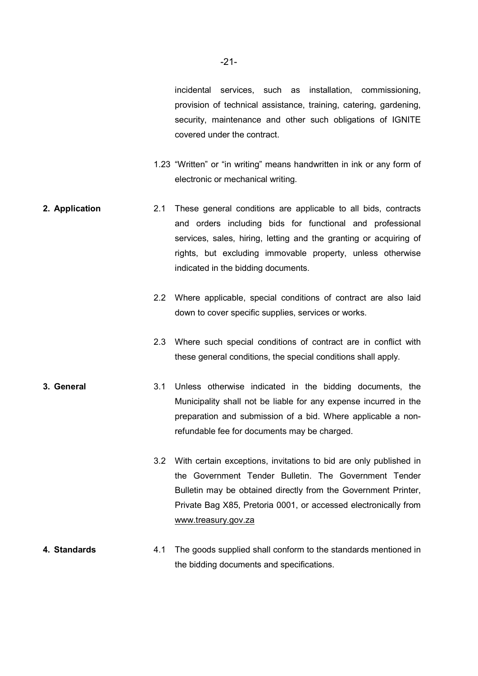incidental services, such as installation, commissioning, provision of technical assistance, training, catering, gardening, security, maintenance and other such obligations of IGNITE covered under the contract.

- 1.23 "Written" or "in writing" means handwritten in ink or any form of electronic or mechanical writing.
- **2. Application** 2.1 These general conditions are applicable to all bids, contracts and orders including bids for functional and professional services, sales, hiring, letting and the granting or acquiring of rights, but excluding immovable property, unless otherwise indicated in the bidding documents.
	- 2.2 Where applicable, special conditions of contract are also laid down to cover specific supplies, services or works.
	- 2.3 Where such special conditions of contract are in conflict with these general conditions, the special conditions shall apply.
- **3. General** 3.1 Unless otherwise indicated in the bidding documents, the Municipality shall not be liable for any expense incurred in the preparation and submission of a bid. Where applicable a nonrefundable fee for documents may be charged.
	- 3.2 With certain exceptions, invitations to bid are only published in the Government Tender Bulletin. The Government Tender Bulletin may be obtained directly from the Government Printer, Private Bag X85, Pretoria 0001, or accessed electronically from www.treasury.gov.za
- **4. Standards** 4.1 The goods supplied shall conform to the standards mentioned in the bidding documents and specifications.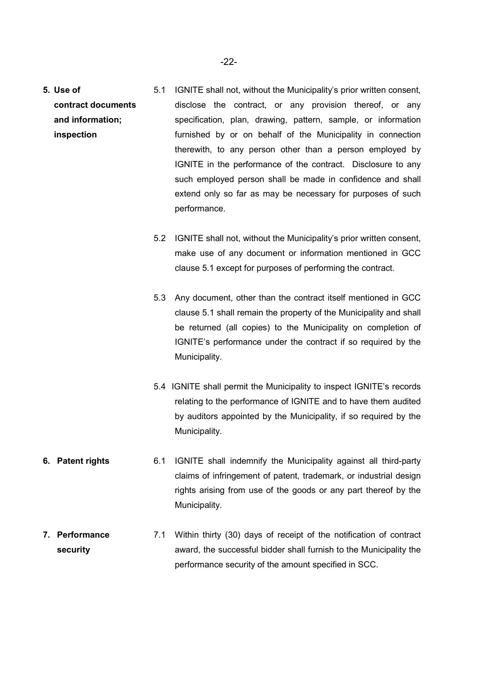- **5. Use of contract documents and information; inspection**  5.1 IGNITE shall not, without the Municipality's prior written consent, disclose the contract, or any provision thereof, or any specification, plan, drawing, pattern, sample, or information furnished by or on behalf of the Municipality in connection therewith, to any person other than a person employed by IGNITE in the performance of the contract. Disclosure to any such employed person shall be made in confidence and shall extend only so far as may be necessary for purposes of such performance.
	- 5.2 IGNITE shall not, without the Municipality's prior written consent, make use of any document or information mentioned in GCC clause 5.1 except for purposes of performing the contract.
	- 5.3 Any document, other than the contract itself mentioned in GCC clause 5.1 shall remain the property of the Municipality and shall be returned (all copies) to the Municipality on completion of IGNITE's performance under the contract if so required by the Municipality.
	- 5.4 IGNITE shall permit the Municipality to inspect IGNITE's records relating to the performance of IGNITE and to have them audited by auditors appointed by the Municipality, if so required by the Municipality.
- **6. Patent rights** 6.1 IGNITE shall indemnify the Municipality against all third-party claims of infringement of patent, trademark, or industrial design rights arising from use of the goods or any part thereof by the Municipality.
- **7. Performance security**  7.1 Within thirty (30) days of receipt of the notification of contract award, the successful bidder shall furnish to the Municipality the performance security of the amount specified in SCC.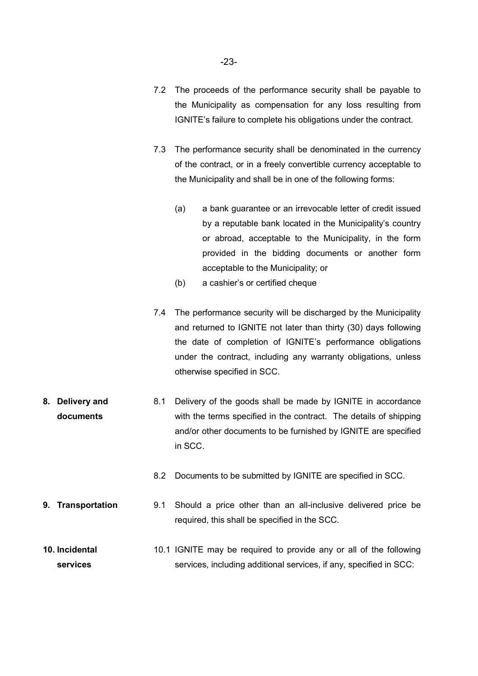- 7.2 The proceeds of the performance security shall be payable to the Municipality as compensation for any loss resulting from IGNITE's failure to complete his obligations under the contract.
- 7.3 The performance security shall be denominated in the currency of the contract, or in a freely convertible currency acceptable to the Municipality and shall be in one of the following forms:
	- (a) a bank guarantee or an irrevocable letter of credit issued by a reputable bank located in the Municipality's country or abroad, acceptable to the Municipality, in the form provided in the bidding documents or another form acceptable to the Municipality; or
	- (b) a cashier's or certified cheque
- 7.4 The performance security will be discharged by the Municipality and returned to IGNITE not later than thirty (30) days following the date of completion of IGNITE's performance obligations under the contract, including any warranty obligations, unless otherwise specified in SCC.
- **8. Delivery and documents**  8.1 Delivery of the goods shall be made by IGNITE in accordance with the terms specified in the contract. The details of shipping and/or other documents to be furnished by IGNITE are specified in SCC.
	- 8.2 Documents to be submitted by IGNITE are specified in SCC.
- **9. Transportation** 9.1 Should a price other than an all-inclusive delivered price be required, this shall be specified in the SCC.
- **10. Incidental services**  10.1 IGNITE may be required to provide any or all of the following services, including additional services, if any, specified in SCC: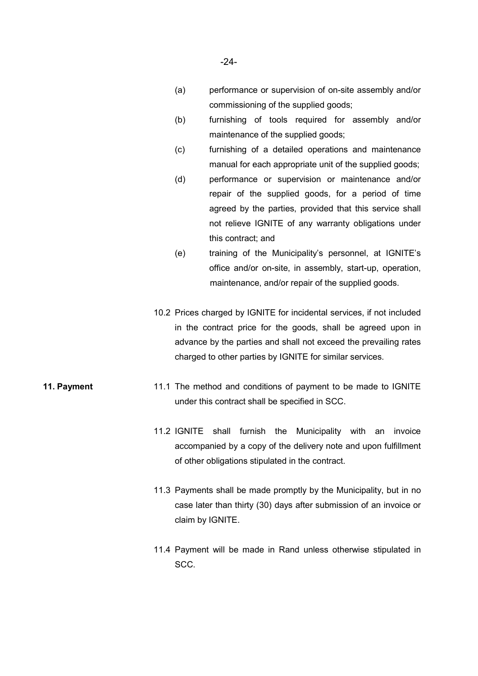- (a) performance or supervision of on-site assembly and/or commissioning of the supplied goods;
- (b) furnishing of tools required for assembly and/or maintenance of the supplied goods;
- (c) furnishing of a detailed operations and maintenance manual for each appropriate unit of the supplied goods;
- (d) performance or supervision or maintenance and/or repair of the supplied goods, for a period of time agreed by the parties, provided that this service shall not relieve IGNITE of any warranty obligations under this contract; and
- (e) training of the Municipality's personnel, at IGNITE's office and/or on-site, in assembly, start-up, operation, maintenance, and/or repair of the supplied goods.
- 10.2 Prices charged by IGNITE for incidental services, if not included in the contract price for the goods, shall be agreed upon in advance by the parties and shall not exceed the prevailing rates charged to other parties by IGNITE for similar services.
- **11. Payment 11.1** The method and conditions of payment to be made to IGNITE under this contract shall be specified in SCC.
	- 11.2 IGNITE shall furnish the Municipality with an invoice accompanied by a copy of the delivery note and upon fulfillment of other obligations stipulated in the contract.
	- 11.3 Payments shall be made promptly by the Municipality, but in no case later than thirty (30) days after submission of an invoice or claim by IGNITE.
	- 11.4 Payment will be made in Rand unless otherwise stipulated in SCC.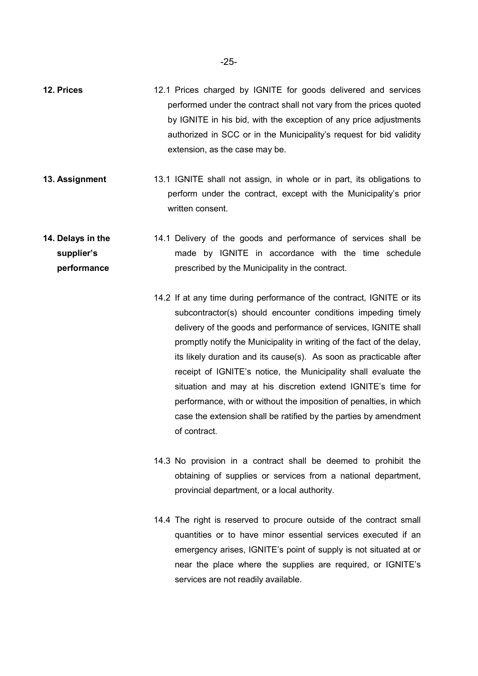- **12. Prices** 12.1 Prices charged by IGNITE for goods delivered and services performed under the contract shall not vary from the prices quoted by IGNITE in his bid, with the exception of any price adjustments authorized in SCC or in the Municipality's request for bid validity extension, as the case may be.
- **13. Assignment** 13.1 IGNITE shall not assign, in whole or in part, its obligations to perform under the contract, except with the Municipality's prior written consent.
- **14. Delays in the supplier's performance**  14.1 Delivery of the goods and performance of services shall be made by IGNITE in accordance with the time schedule prescribed by the Municipality in the contract.
	- 14.2 If at any time during performance of the contract, IGNITE or its subcontractor(s) should encounter conditions impeding timely delivery of the goods and performance of services, IGNITE shall promptly notify the Municipality in writing of the fact of the delay, its likely duration and its cause(s). As soon as practicable after receipt of IGNITE's notice, the Municipality shall evaluate the situation and may at his discretion extend IGNITE's time for performance, with or without the imposition of penalties, in which case the extension shall be ratified by the parties by amendment of contract.
		- 14.3 No provision in a contract shall be deemed to prohibit the obtaining of supplies or services from a national department, provincial department, or a local authority.
		- 14.4 The right is reserved to procure outside of the contract small quantities or to have minor essential services executed if an emergency arises, IGNITE's point of supply is not situated at or near the place where the supplies are required, or IGNITE's services are not readily available.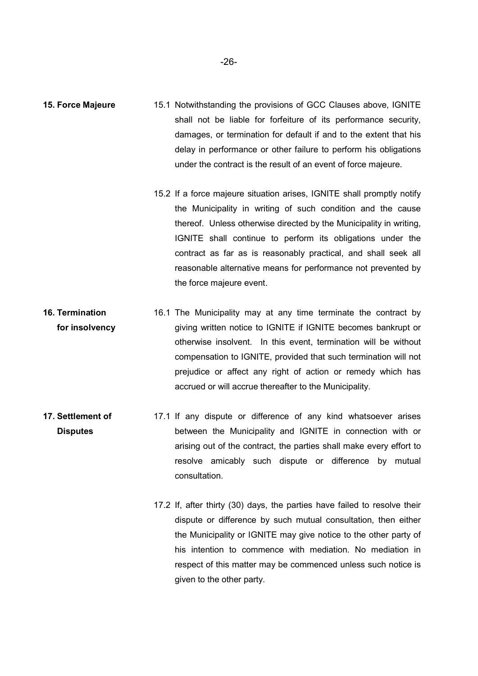- **15. Force Majeure** 15.1 Notwithstanding the provisions of GCC Clauses above, IGNITE shall not be liable for forfeiture of its performance security, damages, or termination for default if and to the extent that his delay in performance or other failure to perform his obligations under the contract is the result of an event of force majeure.
	- 15.2 If a force majeure situation arises, IGNITE shall promptly notify the Municipality in writing of such condition and the cause thereof. Unless otherwise directed by the Municipality in writing, IGNITE shall continue to perform its obligations under the contract as far as is reasonably practical, and shall seek all reasonable alternative means for performance not prevented by the force majeure event.
- **16. Termination for insolvency**  16.1 The Municipality may at any time terminate the contract by giving written notice to IGNITE if IGNITE becomes bankrupt or otherwise insolvent. In this event, termination will be without compensation to IGNITE, provided that such termination will not prejudice or affect any right of action or remedy which has accrued or will accrue thereafter to the Municipality.
- **17. Settlement of Disputes**  17.1 If any dispute or difference of any kind whatsoever arises between the Municipality and IGNITE in connection with or arising out of the contract, the parties shall make every effort to resolve amicably such dispute or difference by mutual consultation.
	- 17.2 If, after thirty (30) days, the parties have failed to resolve their dispute or difference by such mutual consultation, then either the Municipality or IGNITE may give notice to the other party of his intention to commence with mediation. No mediation in respect of this matter may be commenced unless such notice is given to the other party.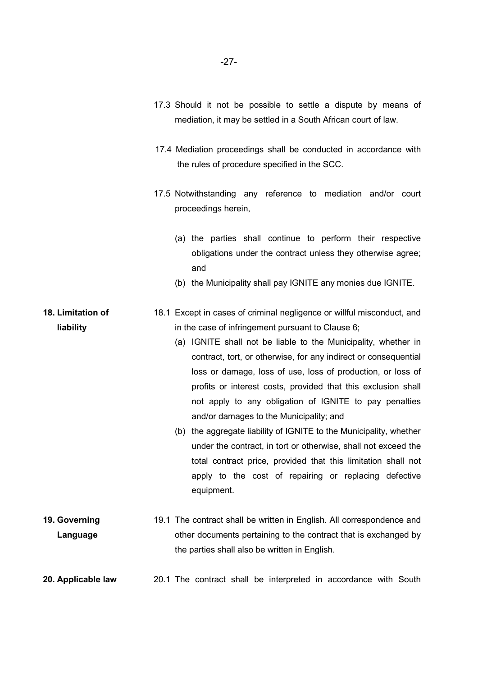- 17.3 Should it not be possible to settle a dispute by means of mediation, it may be settled in a South African court of law.
- 17.4 Mediation proceedings shall be conducted in accordance with the rules of procedure specified in the SCC.
- 17.5 Notwithstanding any reference to mediation and/or court proceedings herein,
	- (a) the parties shall continue to perform their respective obligations under the contract unless they otherwise agree; and
	- (b) the Municipality shall pay IGNITE any monies due IGNITE.
- **18. Limitation of liability**  18.1 Except in cases of criminal negligence or willful misconduct, and in the case of infringement pursuant to Clause 6;
	- (a) IGNITE shall not be liable to the Municipality, whether in contract, tort, or otherwise, for any indirect or consequential loss or damage, loss of use, loss of production, or loss of profits or interest costs, provided that this exclusion shall not apply to any obligation of IGNITE to pay penalties and/or damages to the Municipality; and
	- (b) the aggregate liability of IGNITE to the Municipality, whether under the contract, in tort or otherwise, shall not exceed the total contract price, provided that this limitation shall not apply to the cost of repairing or replacing defective equipment.
- **19. Governing Language**  19.1 The contract shall be written in English. All correspondence and other documents pertaining to the contract that is exchanged by the parties shall also be written in English.
- **20. Applicable law** 20.1 The contract shall be interpreted in accordance with South